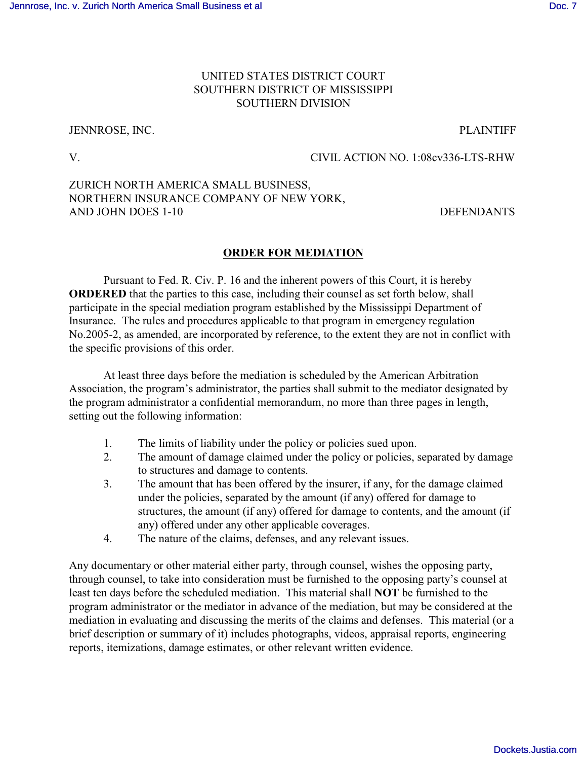## UNITED STATES DISTRICT COURT SOUTHERN DISTRICT OF MISSISSIPPI SOUTHERN DIVISION

## JENNROSE, INC. PLAINTIFF

V. CIVIL ACTION NO. 1:08cv336-LTS-RHW

# ZURICH NORTH AMERICA SMALL BUSINESS, NORTHERN INSURANCE COMPANY OF NEW YORK, AND JOHN DOES 1-10 DEFENDANTS

## **ORDER FOR MEDIATION**

Pursuant to Fed. R. Civ. P. 16 and the inherent powers of this Court, it is hereby **ORDERED** that the parties to this case, including their counsel as set forth below, shall participate in the special mediation program established by the Mississippi Department of Insurance. The rules and procedures applicable to that program in emergency regulation No.2005-2, as amended, are incorporated by reference, to the extent they are not in conflict with the specific provisions of this order.

At least three days before the mediation is scheduled by the American Arbitration Association, the program's administrator, the parties shall submit to the mediator designated by the program administrator a confidential memorandum, no more than three pages in length, setting out the following information:

- 1. The limits of liability under the policy or policies sued upon.
- 2. The amount of damage claimed under the policy or policies, separated by damage to structures and damage to contents.
- 3. The amount that has been offered by the insurer, if any, for the damage claimed under the policies, separated by the amount (if any) offered for damage to structures, the amount (if any) offered for damage to contents, and the amount (if any) offered under any other applicable coverages.
- 4. The nature of the claims, defenses, and any relevant issues.

Any documentary or other material either party, through counsel, wishes the opposing party, through counsel, to take into consideration must be furnished to the opposing party's counsel at least ten days before the scheduled mediation. This material shall **NOT** be furnished to the program administrator or the mediator in advance of the mediation, but may be considered at the mediation in evaluating and discussing the merits of the claims and defenses. This material (or a brief description or summary of it) includes photographs, videos, appraisal reports, engineering reports, itemizations, damage estimates, or other relevant written evidence.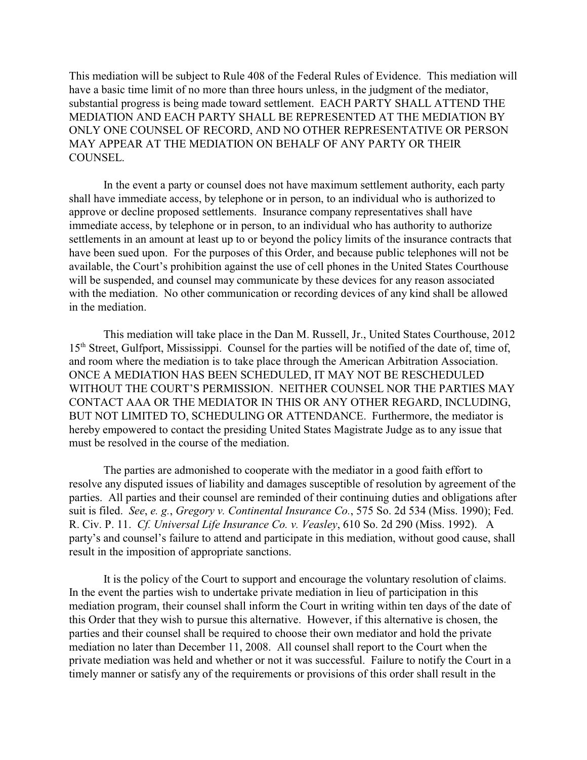This mediation will be subject to Rule 408 of the Federal Rules of Evidence. This mediation will have a basic time limit of no more than three hours unless, in the judgment of the mediator, substantial progress is being made toward settlement. EACH PARTY SHALL ATTEND THE MEDIATION AND EACH PARTY SHALL BE REPRESENTED AT THE MEDIATION BY ONLY ONE COUNSEL OF RECORD, AND NO OTHER REPRESENTATIVE OR PERSON MAY APPEAR AT THE MEDIATION ON BEHALF OF ANY PARTY OR THEIR COUNSEL.

In the event a party or counsel does not have maximum settlement authority, each party shall have immediate access, by telephone or in person, to an individual who is authorized to approve or decline proposed settlements. Insurance company representatives shall have immediate access, by telephone or in person, to an individual who has authority to authorize settlements in an amount at least up to or beyond the policy limits of the insurance contracts that have been sued upon. For the purposes of this Order, and because public telephones will not be available, the Court's prohibition against the use of cell phones in the United States Courthouse will be suspended, and counsel may communicate by these devices for any reason associated with the mediation. No other communication or recording devices of any kind shall be allowed in the mediation.

This mediation will take place in the Dan M. Russell, Jr., United States Courthouse, 2012 15<sup>th</sup> Street, Gulfport, Mississippi. Counsel for the parties will be notified of the date of, time of, and room where the mediation is to take place through the American Arbitration Association. ONCE A MEDIATION HAS BEEN SCHEDULED, IT MAY NOT BE RESCHEDULED WITHOUT THE COURT'S PERMISSION. NEITHER COUNSEL NOR THE PARTIES MAY CONTACT AAA OR THE MEDIATOR IN THIS OR ANY OTHER REGARD, INCLUDING, BUT NOT LIMITED TO, SCHEDULING OR ATTENDANCE. Furthermore, the mediator is hereby empowered to contact the presiding United States Magistrate Judge as to any issue that must be resolved in the course of the mediation.

The parties are admonished to cooperate with the mediator in a good faith effort to resolve any disputed issues of liability and damages susceptible of resolution by agreement of the parties. All parties and their counsel are reminded of their continuing duties and obligations after suit is filed. *See*, *e. g.*, *Gregory v. Continental Insurance Co.*, 575 So. 2d 534 (Miss. 1990); Fed. R. Civ. P. 11. *Cf. Universal Life Insurance Co. v. Veasley*, 610 So. 2d 290 (Miss. 1992). A party's and counsel's failure to attend and participate in this mediation, without good cause, shall result in the imposition of appropriate sanctions.

It is the policy of the Court to support and encourage the voluntary resolution of claims. In the event the parties wish to undertake private mediation in lieu of participation in this mediation program, their counsel shall inform the Court in writing within ten days of the date of this Order that they wish to pursue this alternative. However, if this alternative is chosen, the parties and their counsel shall be required to choose their own mediator and hold the private mediation no later than December 11, 2008. All counsel shall report to the Court when the private mediation was held and whether or not it was successful. Failure to notify the Court in a timely manner or satisfy any of the requirements or provisions of this order shall result in the